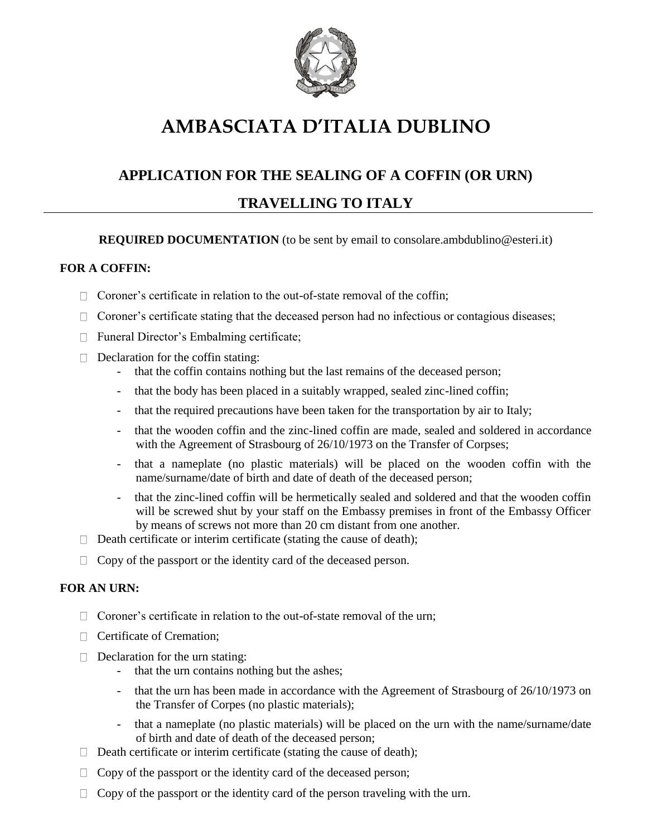

# **AMBASCIATA D'ITALIA DUBLINO**

## **APPLICATION FOR THE SEALING OF A COFFIN (OR URN)**

### **TRAVELLING TO ITALY**

#### **REQUIRED DOCUMENTATION** (to be sent by email to consolare.ambdublino@esteri.it)

#### **FOR A COFFIN:**

- $\Box$  Coroner's certificate in relation to the out-of-state removal of the coffin:
- □ Coroner's certificate stating that the deceased person had no infectious or contagious diseases;
- □ Funeral Director's Embalming certificate;
- $\Box$  Declaration for the coffin stating:
	- that the coffin contains nothing but the last remains of the deceased person;
	- that the body has been placed in a suitably wrapped, sealed zinc-lined coffin;
	- that the required precautions have been taken for the transportation by air to Italy;
	- that the wooden coffin and the zinc-lined coffin are made, sealed and soldered in accordance with the Agreement of Strasbourg of 26/10/1973 on the Transfer of Corpses;
	- that a nameplate (no plastic materials) will be placed on the wooden coffin with the name/surname/date of birth and date of death of the deceased person;
	- that the zinc-lined coffin will be hermetically sealed and soldered and that the wooden coffin will be screwed shut by your staff on the Embassy premises in front of the Embassy Officer by means of screws not more than 20 cm distant from one another.
- $\Box$  Death certificate or interim certificate (stating the cause of death);
- $\Box$  Copy of the passport or the identity card of the deceased person.

#### **FOR AN URN:**

- $\Box$  Coroner's certificate in relation to the out-of-state removal of the urn;
- **Certificate of Cremation:**
- $\Box$  Declaration for the urn stating:
	- that the urn contains nothing but the ashes;
	- that the urn has been made in accordance with the Agreement of Strasbourg of 26/10/1973 on the Transfer of Corpes (no plastic materials);
	- that a nameplate (no plastic materials) will be placed on the urn with the name/surname/date of birth and date of death of the deceased person;
- $\Box$  Death certificate or interim certificate (stating the cause of death);
- $\Box$  Copy of the passport or the identity card of the deceased person;
- $\Box$  Copy of the passport or the identity card of the person traveling with the urn.